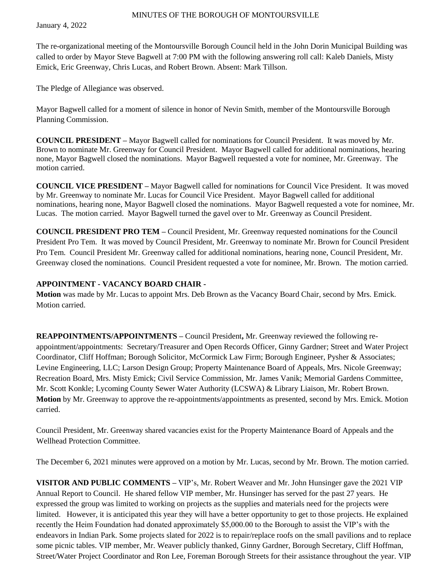January 4, 2022

The re-organizational meeting of the Montoursville Borough Council held in the John Dorin Municipal Building was called to order by Mayor Steve Bagwell at 7:00 PM with the following answering roll call: Kaleb Daniels, Misty Emick, Eric Greenway, Chris Lucas, and Robert Brown. Absent: Mark Tillson.

The Pledge of Allegiance was observed.

Mayor Bagwell called for a moment of silence in honor of Nevin Smith, member of the Montoursville Borough Planning Commission.

**COUNCIL PRESIDENT –** Mayor Bagwell called for nominations for Council President. It was moved by Mr. Brown to nominate Mr. Greenway for Council President. Mayor Bagwell called for additional nominations, hearing none, Mayor Bagwell closed the nominations. Mayor Bagwell requested a vote for nominee, Mr. Greenway. The motion carried.

**COUNCIL VICE PRESIDENT –** Mayor Bagwell called for nominations for Council Vice President. It was moved by Mr. Greenway to nominate Mr. Lucas for Council Vice President. Mayor Bagwell called for additional nominations, hearing none, Mayor Bagwell closed the nominations. Mayor Bagwell requested a vote for nominee, Mr. Lucas. The motion carried.Mayor Bagwell turned the gavel over to Mr. Greenway as Council President.

**COUNCIL PRESIDENT PRO TEM –** Council President, Mr. Greenway requested nominations for the Council President Pro Tem. It was moved by Council President, Mr. Greenway to nominate Mr. Brown for Council President Pro Tem. Council President Mr. Greenway called for additional nominations, hearing none, Council President, Mr. Greenway closed the nominations. Council President requested a vote for nominee, Mr. Brown. The motion carried.

## **APPOINTMENT - VACANCY BOARD CHAIR -**

**Motion** was made by Mr. Lucas to appoint Mrs. Deb Brown as the Vacancy Board Chair, second by Mrs. Emick. Motion carried.

**REAPPOINTMENTS/APPOINTMENTS –** Council President**,** Mr. Greenway reviewed the following reappointment/appointments: Secretary/Treasurer and Open Records Officer, Ginny Gardner; Street and Water Project Coordinator, Cliff Hoffman; Borough Solicitor, McCormick Law Firm; Borough Engineer, Pysher & Associates; Levine Engineering, LLC; Larson Design Group; Property Maintenance Board of Appeals, Mrs. Nicole Greenway; Recreation Board, Mrs. Misty Emick; Civil Service Commission, Mr. James Vanik; Memorial Gardens Committee, Mr. Scott Konkle; Lycoming County Sewer Water Authority (LCSWA) & Library Liaison, Mr. Robert Brown. **Motion** by Mr. Greenway to approve the re-appointments/appointments as presented, second by Mrs. Emick. Motion carried.

Council President, Mr. Greenway shared vacancies exist for the Property Maintenance Board of Appeals and the Wellhead Protection Committee.

The December 6, 2021 minutes were approved on a motion by Mr. Lucas, second by Mr. Brown. The motion carried.

**VISITOR AND PUBLIC COMMENTS –** VIP's, Mr. Robert Weaver and Mr. John Hunsinger gave the 2021 VIP Annual Report to Council. He shared fellow VIP member, Mr. Hunsinger has served for the past 27 years. He expressed the group was limited to working on projects as the supplies and materials need for the projects were limited. However, it is anticipated this year they will have a better opportunity to get to those projects. He explained recently the Heim Foundation had donated approximately \$5,000.00 to the Borough to assist the VIP's with the endeavors in Indian Park. Some projects slated for 2022 is to repair/replace roofs on the small pavilions and to replace some picnic tables. VIP member, Mr. Weaver publicly thanked, Ginny Gardner, Borough Secretary, Cliff Hoffman, Street/Water Project Coordinator and Ron Lee, Foreman Borough Streets for their assistance throughout the year. VIP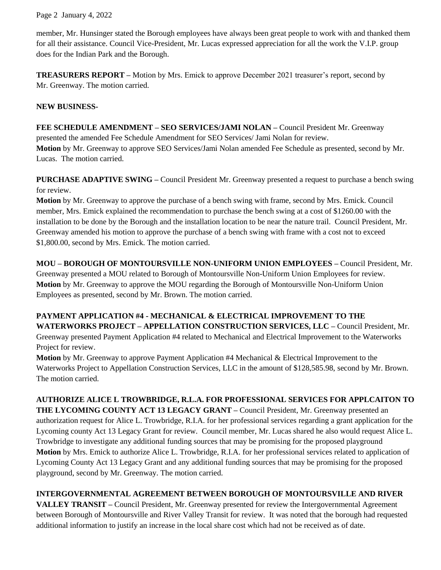Page 2 January 4, 2022

member, Mr. Hunsinger stated the Borough employees have always been great people to work with and thanked them for all their assistance. Council Vice-President, Mr. Lucas expressed appreciation for all the work the V.I.P. group does for the Indian Park and the Borough.

**TREASURERS REPORT –** Motion by Mrs. Emick to approve December 2021 treasurer's report, second by Mr. Greenway. The motion carried.

# **NEW BUSINESS-**

**FEE SCHEDULE AMENDMENT – SEO SERVICES/JAMI NOLAN –** Council President Mr. Greenway presented the amended Fee Schedule Amendment for SEO Services/ Jami Nolan for review. **Motion** by Mr. Greenway to approve SEO Services/Jami Nolan amended Fee Schedule as presented, second by Mr. Lucas. The motion carried.

**PURCHASE ADAPTIVE SWING –** Council President Mr. Greenway presented a request to purchase a bench swing for review.

**Motion** by Mr. Greenway to approve the purchase of a bench swing with frame, second by Mrs. Emick. Council member, Mrs. Emick explained the recommendation to purchase the bench swing at a cost of \$1260.00 with the installation to be done by the Borough and the installation location to be near the nature trail. Council President, Mr. Greenway amended his motion to approve the purchase of a bench swing with frame with a cost not to exceed \$1,800.00, second by Mrs. Emick. The motion carried.

**MOU – BOROUGH OF MONTOURSVILLE NON-UNIFORM UNION EMPLOYEES –** Council President, Mr. Greenway presented a MOU related to Borough of Montoursville Non-Uniform Union Employees for review. **Motion** by Mr. Greenway to approve the MOU regarding the Borough of Montoursville Non-Uniform Union Employees as presented, second by Mr. Brown. The motion carried.

**PAYMENT APPLICATION #4 - MECHANICAL & ELECTRICAL IMPROVEMENT TO THE WATERWORKS PROJECT – APPELLATION CONSTRUCTION SERVICES, LLC –** Council President, Mr. Greenway presented Payment Application #4 related to Mechanical and Electrical Improvement to the Waterworks Project for review.

**Motion** by Mr. Greenway to approve Payment Application #4 Mechanical & Electrical Improvement to the Waterworks Project to Appellation Construction Services, LLC in the amount of \$128,585.98, second by Mr. Brown. The motion carried.

**AUTHORIZE ALICE L TROWBRIDGE, R.L.A. FOR PROFESSIONAL SERVICES FOR APPLCAITON TO THE LYCOMING COUNTY ACT 13 LEGACY GRANT –** Council President, Mr. Greenway presented an authorization request for Alice L. Trowbridge, R.I.A. for her professional services regarding a grant application for the Lycoming county Act 13 Legacy Grant for review. Council member, Mr. Lucas shared he also would request Alice L. Trowbridge to investigate any additional funding sources that may be promising for the proposed playground **Motion** by Mrs. Emick to authorize Alice L. Trowbridge, R.I.A. for her professional services related to application of Lycoming County Act 13 Legacy Grant and any additional funding sources that may be promising for the proposed playground, second by Mr. Greenway. The motion carried.

# **INTERGOVERNMENTAL AGREEMENT BETWEEN BOROUGH OF MONTOURSVILLE AND RIVER**

**VALLEY TRANSIT –** Council President, Mr. Greenway presented for review the Intergovernmental Agreement between Borough of Montoursville and River Valley Transit for review. It was noted that the borough had requested additional information to justify an increase in the local share cost which had not be received as of date.